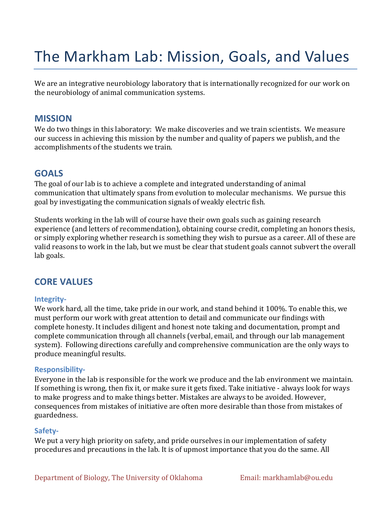# The Markham Lab: Mission, Goals, and Values

We are an integrative neurobiology laboratory that is internationally recognized for our work on the neurobiology of animal communication systems.

## **MISSION**

We do two things in this laboratory: We make discoveries and we train scientists. We measure our success in achieving this mission by the number and quality of papers we publish, and the accomplishments of the students we train.

## **GOALS**

The goal of our lab is to achieve a complete and integrated understanding of animal communication that ultimately spans from evolution to molecular mechanisms. We pursue this goal by investigating the communication signals of weakly electric fish.

Students working in the lab will of course have their own goals such as gaining research experience (and letters of recommendation), obtaining course credit, completing an honors thesis, or simply exploring whether research is something they wish to pursue as a career. All of these are valid reasons to work in the lab, but we must be clear that student goals cannot subvert the overall lab goals.

## **CORE VALUES**

## **Integrity-**

We work hard, all the time, take pride in our work, and stand behind it 100%. To enable this, we must perform our work with great attention to detail and communicate our findings with complete honesty. It includes diligent and honest note taking and documentation, prompt and complete communication through all channels (verbal, email, and through our lab management system). Following directions carefully and comprehensive communication are the only ways to produce meaningful results.

## **Responsibility-**

Everyone in the lab is responsible for the work we produce and the lab environment we maintain. If something is wrong, then fix it, or make sure it gets fixed. Take initiative - always look for ways to make progress and to make things better. Mistakes are always to be avoided. However, consequences from mistakes of initiative are often more desirable than those from mistakes of guardedness.

#### **Safety-**

We put a very high priority on safety, and pride ourselves in our implementation of safety procedures and precautions in the lab. It is of upmost importance that you do the same. All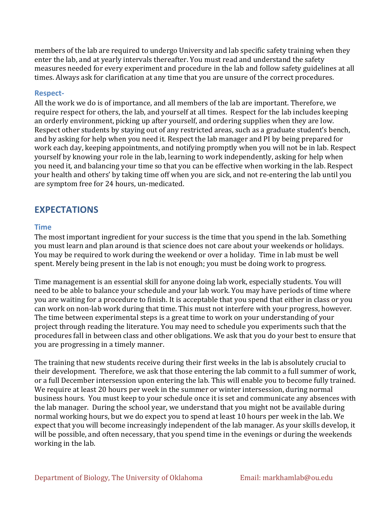members of the lab are required to undergo University and lab specific safety training when they enter the lab, and at yearly intervals thereafter. You must read and understand the safety measures needed for every experiment and procedure in the lab and follow safety guidelines at all times. Always ask for clarification at any time that you are unsure of the correct procedures.

## **Respect-**

All the work we do is of importance, and all members of the lab are important. Therefore, we require respect for others, the lab, and yourself at all times. Respect for the lab includes keeping an orderly environment, picking up after yourself, and ordering supplies when they are low. Respect other students by staying out of any restricted areas, such as a graduate student's bench, and by asking for help when you need it. Respect the lab manager and PI by being prepared for work each day, keeping appointments, and notifying promptly when you will not be in lab. Respect yourself by knowing your role in the lab, learning to work independently, asking for help when you need it, and balancing your time so that you can be effective when working in the lab. Respect your health and others' by taking time off when you are sick, and not re-entering the lab until you are symptom free for 24 hours, un-medicated.

# **EXPECTATIONS**

## **Time**

The most important ingredient for your success is the time that you spend in the lab. Something you must learn and plan around is that science does not care about your weekends or holidays. You may be required to work during the weekend or over a holiday. Time in lab must be well spent. Merely being present in the lab is not enough; you must be doing work to progress.

Time management is an essential skill for anyone doing lab work, especially students. You will need to be able to balance your schedule and your lab work. You may have periods of time where you are waiting for a procedure to finish. It is acceptable that you spend that either in class or you can work on non-lab work during that time. This must not interfere with your progress, however. The time between experimental steps is a great time to work on your understanding of your project through reading the literature. You may need to schedule you experiments such that the procedures fall in between class and other obligations. We ask that you do your best to ensure that you are progressing in a timely manner.

The training that new students receive during their first weeks in the lab is absolutely crucial to their development. Therefore, we ask that those entering the lab commit to a full summer of work, or a full December intersession upon entering the lab. This will enable you to become fully trained. We require at least 20 hours per week in the summer or winter intersession, during normal business hours. You must keep to your schedule once it is set and communicate any absences with the lab manager. During the school year, we understand that you might not be available during normal working hours, but we do expect you to spend at least 10 hours per week in the lab. We expect that you will become increasingly independent of the lab manager. As your skills develop, it will be possible, and often necessary, that you spend time in the evenings or during the weekends working in the lab.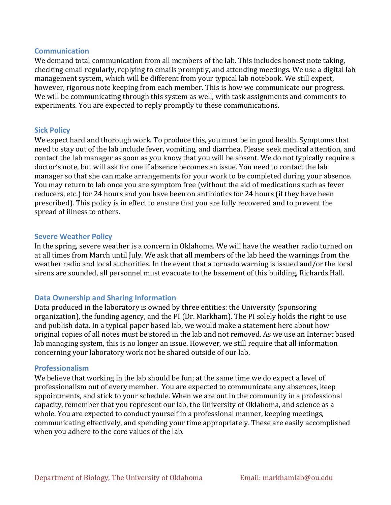## **Communication**

We demand total communication from all members of the lab. This includes honest note taking, checking email regularly, replying to emails promptly, and attending meetings. We use a digital lab management system, which will be different from your typical lab notebook. We still expect, however, rigorous note keeping from each member. This is how we communicate our progress. We will be communicating through this system as well, with task assignments and comments to experiments. You are expected to reply promptly to these communications.

## **Sick Policy**

We expect hard and thorough work. To produce this, you must be in good health. Symptoms that need to stay out of the lab include fever, vomiting, and diarrhea. Please seek medical attention, and contact the lab manager as soon as you know that you will be absent. We do not typically require a doctor's note, but will ask for one if absence becomes an issue. You need to contact the lab manager so that she can make arrangements for your work to be completed during your absence. You may return to lab once you are symptom free (without the aid of medications such as fever reducers, etc.) for 24 hours and you have been on antibiotics for 24 hours (if they have been prescribed). This policy is in effect to ensure that you are fully recovered and to prevent the spread of illness to others.

## **Severe Weather Policy**

In the spring, severe weather is a concern in Oklahoma. We will have the weather radio turned on at all times from March until July. We ask that all members of the lab heed the warnings from the weather radio and local authorities. In the event that a tornado warning is issued and/or the local sirens are sounded, all personnel must evacuate to the basement of this building, Richards Hall.

## **Data Ownership and Sharing Information**

Data produced in the laboratory is owned by three entities: the University (sponsoring organization), the funding agency, and the PI (Dr. Markham). The PI solely holds the right to use and publish data. In a typical paper based lab, we would make a statement here about how original copies of all notes must be stored in the lab and not removed. As we use an Internet based lab managing system, this is no longer an issue. However, we still require that all information concerning your laboratory work not be shared outside of our lab.

## **Professionalism**

We believe that working in the lab should be fun; at the same time we do expect a level of professionalism out of every member. You are expected to communicate any absences, keep appointments, and stick to your schedule. When we are out in the community in a professional capacity, remember that you represent our lab, the University of Oklahoma, and science as a whole. You are expected to conduct yourself in a professional manner, keeping meetings, communicating effectively, and spending your time appropriately. These are easily accomplished when you adhere to the core values of the lab.